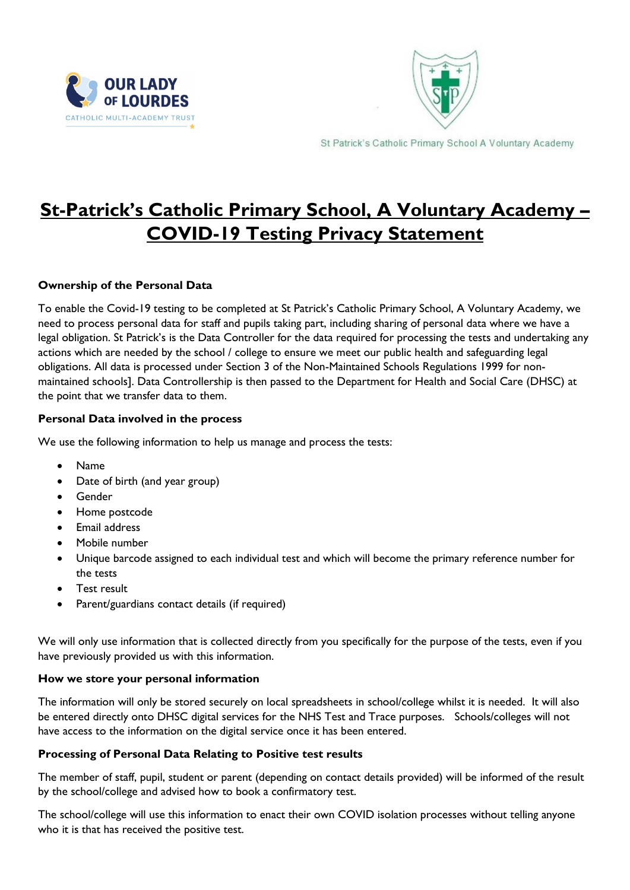



St Patrick's Catholic Primary School A Voluntary Academy

# **St-Patrick's Catholic Primary School, A Voluntary Academy – COVID-19 Testing Privacy Statement**

### **Ownership of the Personal Data**

To enable the Covid-19 testing to be completed at St Patrick's Catholic Primary School, A Voluntary Academy, we need to process personal data for staff and pupils taking part, including sharing of personal data where we have a legal obligation. St Patrick's is the Data Controller for the data required for processing the tests and undertaking any actions which are needed by the school / college to ensure we meet our public health and safeguarding legal obligations. All data is processed under Section 3 of the Non-Maintained Schools Regulations 1999 for nonmaintained schools]. Data Controllership is then passed to the Department for Health and Social Care (DHSC) at the point that we transfer data to them.

#### **Personal Data involved in the process**

We use the following information to help us manage and process the tests:

- Name
- Date of birth (and year group)
- Gender
- Home postcode
- Email address
- Mobile number
- Unique barcode assigned to each individual test and which will become the primary reference number for the tests
- Test result
- Parent/guardians contact details (if required)

We will only use information that is collected directly from you specifically for the purpose of the tests, even if you have previously provided us with this information.

#### **How we store your personal information**

The information will only be stored securely on local spreadsheets in school/college whilst it is needed. It will also be entered directly onto DHSC digital services for the NHS Test and Trace purposes. Schools/colleges will not have access to the information on the digital service once it has been entered.

## **Processing of Personal Data Relating to Positive test results**

The member of staff, pupil, student or parent (depending on contact details provided) will be informed of the result by the school/college and advised how to book a confirmatory test.

The school/college will use this information to enact their own COVID isolation processes without telling anyone who it is that has received the positive test.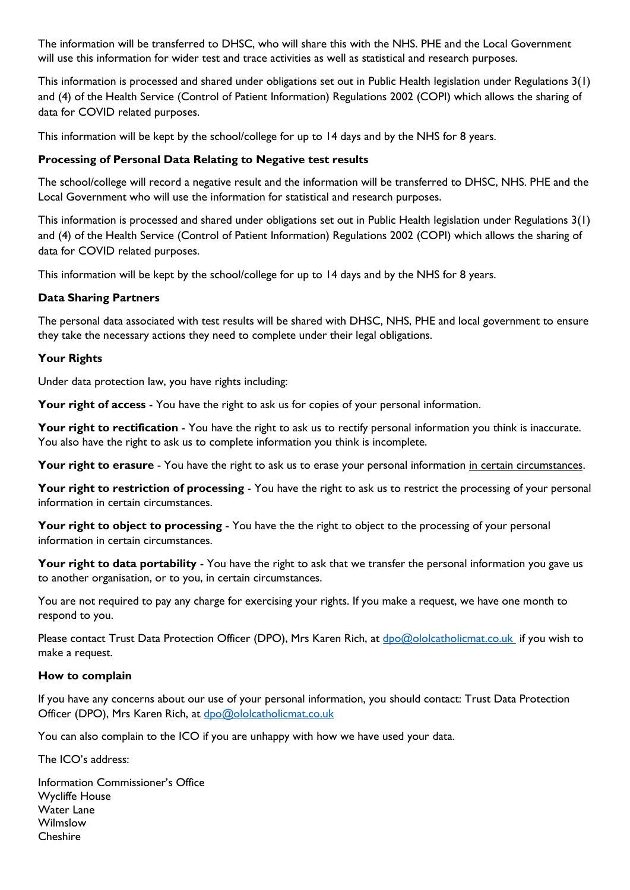The information will be transferred to DHSC, who will share this with the NHS. PHE and the Local Government will use this information for wider test and trace activities as well as statistical and research purposes.

This information is processed and shared under obligations set out in Public Health legislation under Regulations 3(1) and (4) of the Health Service (Control of Patient Information) Regulations 2002 (COPI) which allows the sharing of data for COVID related purposes.

This information will be kept by the school/college for up to 14 days and by the NHS for 8 years.

#### **Processing of Personal Data Relating to Negative test results**

The school/college will record a negative result and the information will be transferred to DHSC, NHS. PHE and the Local Government who will use the information for statistical and research purposes.

This information is processed and shared under obligations set out in Public Health legislation under Regulations 3(1) and (4) of the Health Service (Control of Patient Information) Regulations 2002 (COPI) which allows the sharing of data for COVID related purposes.

This information will be kept by the school/college for up to 14 days and by the NHS for 8 years.

#### **Data Sharing Partners**

The personal data associated with test results will be shared with DHSC, NHS, PHE and local government to ensure they take the necessary actions they need to complete under their legal obligations.

#### **Your Rights**

Under data protection law, you have rights including:

**Your right of access** - You have the right to ask us for copies of your personal information.

**Your right to rectification** - You have the right to ask us to rectify personal information you think is inaccurate. You also have the right to ask us to complete information you think is incomplete.

**Your right to erasure** - You have the right to ask us to erase your personal information in certain circumstances.

**Your right to restriction of processing** - You have the right to ask us to restrict the processing of your personal information in certain circumstances.

Your right to object to processing - You have the the right to object to the processing of your personal information in certain circumstances.

**Your right to data portability** - You have the right to ask that we transfer the personal information you gave us to another organisation, or to you, in certain circumstances.

You are not required to pay any charge for exercising your rights. If you make a request, we have one month to respond to you.

Please contact Trust Data Protection Officer (DPO), Mrs Karen Rich, at [dpo@ololcatholicmat.co.uk](mailto:dpo@ololcatholicmat.co.uk) if you wish to make a request.

#### **How to complain**

If you have any concerns about our use of your personal information, you should contact: Trust Data Protection Officer (DPO), Mrs Karen Rich, at [dpo@ololcatholicmat.co.uk](mailto:dpo@ololcatholicmat.co.uk)

You can also complain to the ICO if you are unhappy with how we have used your data.

The ICO's address:

Information Commissioner's Office Wycliffe House Water Lane Wilmslow **Cheshire**